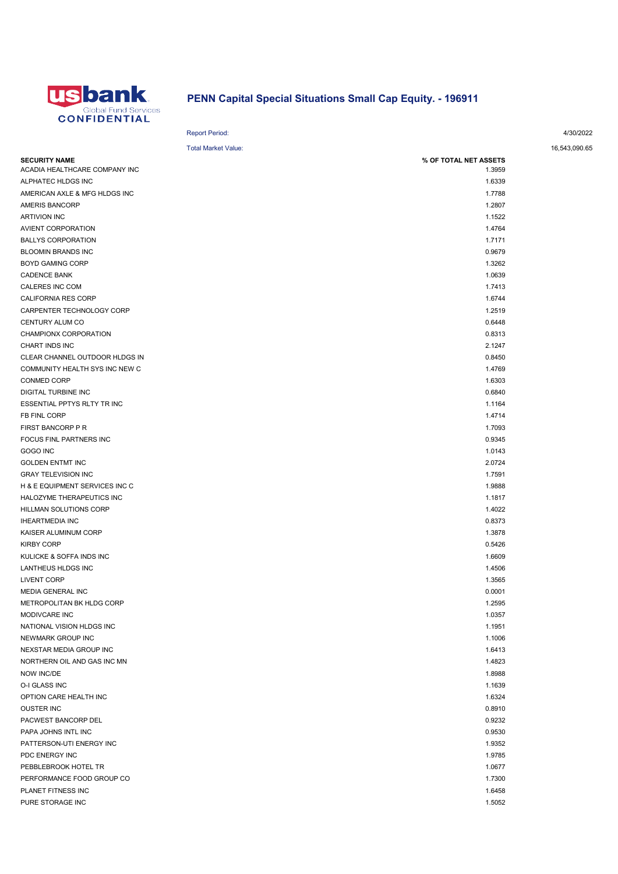

## PENN Capital Special Situations Small Cap Equity. - 196911

## Report Period: 4/30/2022

## Total Market Value: 16,543,090.65

| <b>SECURITY NAME</b>           | % OF TOTAL NET ASSETS |  |
|--------------------------------|-----------------------|--|
| ACADIA HEALTHCARE COMPANY INC  | 1.3959                |  |
| ALPHATEC HLDGS INC             | 1.6339                |  |
| AMERICAN AXLE & MFG HLDGS INC  | 1.7788                |  |
| AMERIS BANCORP                 | 1.2807                |  |
| <b>ARTIVION INC</b>            | 1.1522                |  |
| AVIENT CORPORATION             | 1.4764                |  |
| <b>BALLYS CORPORATION</b>      | 1.7171                |  |
| <b>BLOOMIN BRANDS INC</b>      | 0.9679                |  |
| <b>BOYD GAMING CORP</b>        | 1.3262                |  |
| <b>CADENCE BANK</b>            | 1.0639                |  |
| CALERES INC COM                | 1.7413                |  |
| CALIFORNIA RES CORP            | 1.6744                |  |
| CARPENTER TECHNOLOGY CORP      | 1.2519                |  |
| CENTURY ALUM CO                | 0.6448                |  |
| CHAMPIONX CORPORATION          | 0.8313                |  |
| CHART INDS INC                 | 2.1247                |  |
| CLEAR CHANNEL OUTDOOR HLDGS IN | 0.8450                |  |
| COMMUNITY HEALTH SYS INC NEW C | 1.4769                |  |
| CONMED CORP                    | 1.6303                |  |
| DIGITAL TURBINE INC            | 0.6840                |  |
| ESSENTIAL PPTYS RLTY TR INC    | 1.1164                |  |
| FB FINL CORP                   | 1.4714                |  |
| FIRST BANCORP P R              | 1.7093                |  |
| <b>FOCUS FINL PARTNERS INC</b> | 0.9345                |  |
| GOGO INC                       | 1.0143                |  |
| <b>GOLDEN ENTMT INC</b>        | 2.0724                |  |
| <b>GRAY TELEVISION INC</b>     | 1.7591                |  |
| H & E EQUIPMENT SERVICES INC C | 1.9888                |  |
| HALOZYME THERAPEUTICS INC      | 1.1817                |  |
| HILLMAN SOLUTIONS CORP         | 1.4022                |  |
| <b>IHEARTMEDIA INC</b>         | 0.8373                |  |
| KAISER ALUMINUM CORP           | 1.3878                |  |
| <b>KIRBY CORP</b>              | 0.5426                |  |
| KULICKE & SOFFA INDS INC       | 1.6609                |  |
| LANTHEUS HLDGS INC             | 1.4506                |  |
| <b>LIVENT CORP</b>             | 1.3565                |  |
| MEDIA GENERAL INC              | 0.0001                |  |
| METROPOLITAN BK HLDG CORP      | 1.2595                |  |
| MODIVCARE INC                  | 1.0357                |  |
| NATIONAL VISION HLDGS INC      | 1.1951                |  |
| NEWMARK GROUP INC              | 1.1006                |  |
| NEXSTAR MEDIA GROUP INC        | 1.6413                |  |
| NORTHERN OIL AND GAS INC MN    | 1.4823                |  |
| NOW INC/DE                     | 1.8988                |  |
| O-I GLASS INC                  | 1.1639                |  |
| OPTION CARE HEALTH INC         | 1.6324                |  |
| <b>OUSTER INC</b>              | 0.8910                |  |
| PACWEST BANCORP DEL            | 0.9232                |  |
| PAPA JOHNS INTL INC            | 0.9530                |  |
| PATTERSON-UTI ENERGY INC       | 1.9352                |  |
| PDC ENERGY INC                 | 1.9785                |  |
| PEBBLEBROOK HOTEL TR           | 1.0677                |  |
| PERFORMANCE FOOD GROUP CO      | 1.7300                |  |
| PLANET FITNESS INC             | 1.6458                |  |
| PURE STORAGE INC               | 1.5052                |  |
|                                |                       |  |